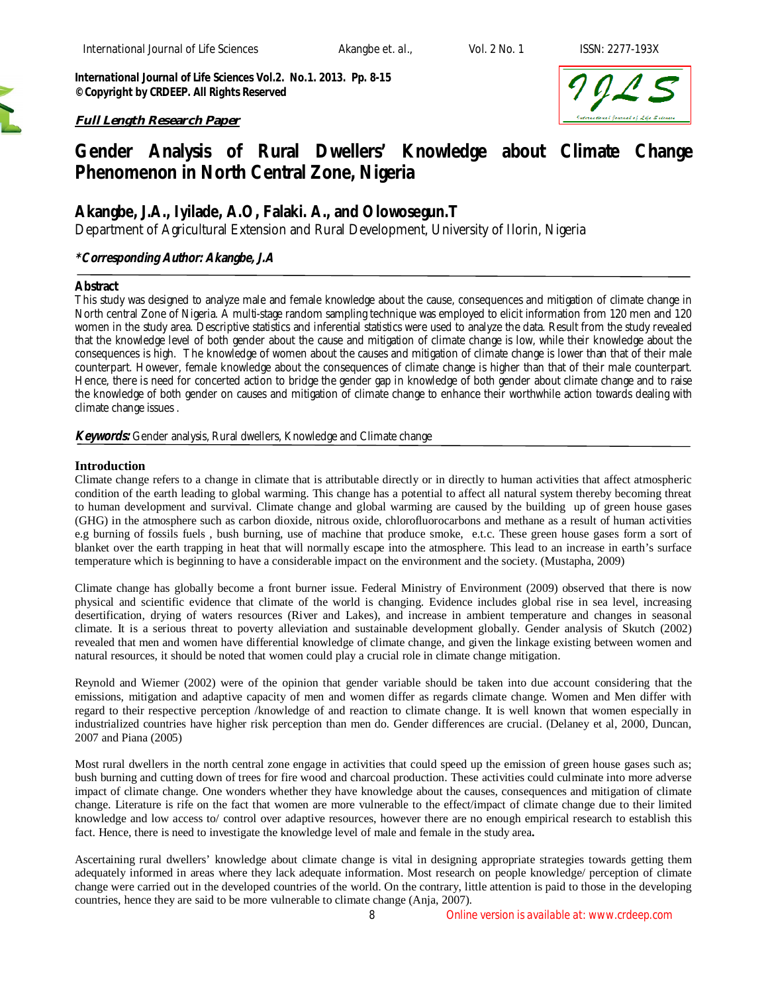*International Journal of Life Sciences Vol.2. No.1. 2013. Pp. 8-15 ©Copyright by CRDEEP. All Rights Reserved*

# *Full Length Research Paper*



# **Gender Analysis of Rural Dwellers' Knowledge about Climate Change Phenomenon in North Central Zone, Nigeria**

# **Akangbe, J.A., Iyilade, A.O, Falaki. A., and Olowosegun.T**

*Department of Agricultural Extension and Rural Development, University of Ilorin, Nigeria*

# *\*Corresponding Author: Akangbe, J.A*

#### **Abstract**

This study was designed to analyze male and female knowledge about the cause, consequences and mitigation of climate change in North central Zone of Nigeria. A multi-stage random sampling technique was employed to elicit information from 120 men and 120 women in the study area. Descriptive statistics and inferential statistics were used to analyze the data. Result from the study revealed that the knowledge level of both gender about the cause and mitigation of climate change is low, while their knowledge about the consequences is high. The knowledge of women about the causes and mitigation of climate change is lower than that of their male counterpart. However, female knowledge about the consequences of climate change is higher than that of their male counterpart. Hence, there is need for concerted action to bridge the gender gap in knowledge of both gender about climate change and to raise the knowledge of both gender on causes and mitigation of climate change to enhance their worthwhile action towards dealing with climate change issues .

# *Keywords: Gender analysis, Rural dwellers, Knowledge and Climate change*

# **Introduction**

Climate change refers to a change in climate that is attributable directly or in directly to human activities that affect atmospheric condition of the earth leading to global warming. This change has a potential to affect all natural system thereby becoming threat to human development and survival. Climate change and global warming are caused by the building up of green house gases (GHG) in the atmosphere such as carbon dioxide, nitrous oxide, chlorofluorocarbons and methane as a result of human activities e.g burning of fossils fuels , bush burning, use of machine that produce smoke, e.t.c. These green house gases form a sort of blanket over the earth trapping in heat that will normally escape into the atmosphere. This lead to an increase in earth's surface temperature which is beginning to have a considerable impact on the environment and the society. (Mustapha, 2009)

Climate change has globally become a front burner issue. Federal Ministry of Environment (2009) observed that there is now physical and scientific evidence that climate of the world is changing. Evidence includes global rise in sea level, increasing desertification, drying of waters resources (River and Lakes), and increase in ambient temperature and changes in seasonal climate. It is a serious threat to poverty alleviation and sustainable development globally. Gender analysis of Skutch (2002) revealed that men and women have differential knowledge of climate change, and given the linkage existing between women and natural resources, it should be noted that women could play a crucial role in climate change mitigation.

Reynold and Wiemer (2002) were of the opinion that gender variable should be taken into due account considering that the emissions, mitigation and adaptive capacity of men and women differ as regards climate change. Women and Men differ with regard to their respective perception /knowledge of and reaction to climate change. It is well known that women especially in industrialized countries have higher risk perception than men do. Gender differences are crucial. (Delaney et al, 2000, Duncan, 2007 and Piana (2005)

Most rural dwellers in the north central zone engage in activities that could speed up the emission of green house gases such as; bush burning and cutting down of trees for fire wood and charcoal production. These activities could culminate into more adverse impact of climate change. One wonders whether they have knowledge about the causes, consequences and mitigation of climate change. Literature is rife on the fact that women are more vulnerable to the effect/impact of climate change due to their limited knowledge and low access to/ control over adaptive resources, however there are no enough empirical research to establish this fact. Hence, there is need to investigate the knowledge level of male and female in the study area**.** 

Ascertaining rural dwellers' knowledge about climate change is vital in designing appropriate strategies towards getting them adequately informed in areas where they lack adequate information. Most research on people knowledge/ perception of climate change were carried out in the developed countries of the world. On the contrary, little attention is paid to those in the developing countries, hence they are said to be more vulnerable to climate change (Anja, 2007).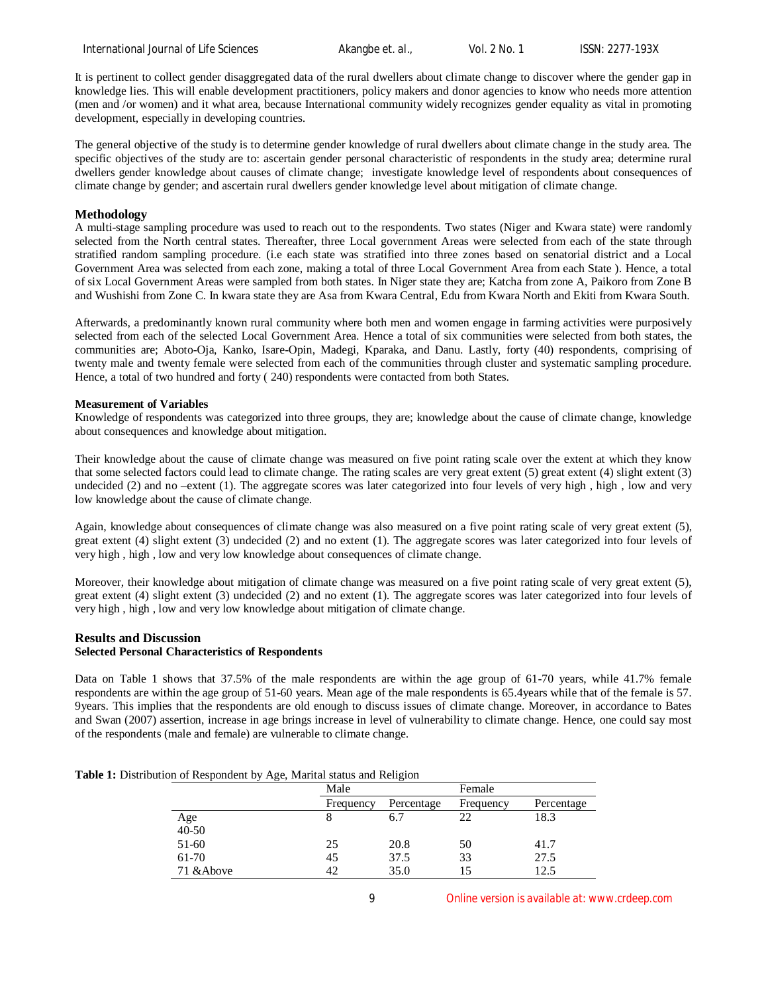International Journal of Life Sciences **Akangbe** *et. al.***,** Vol. 2 No. 1 ISSN: 2277-193X

It is pertinent to collect gender disaggregated data of the rural dwellers about climate change to discover where the gender gap in knowledge lies. This will enable development practitioners, policy makers and donor agencies to know who needs more attention (men and /or women) and it what area, because International community widely recognizes gender equality as vital in promoting development, especially in developing countries.

The general objective of the study is to determine gender knowledge of rural dwellers about climate change in the study area. The specific objectives of the study are to: ascertain gender personal characteristic of respondents in the study area; determine rural dwellers gender knowledge about causes of climate change; investigate knowledge level of respondents about consequences of climate change by gender; and ascertain rural dwellers gender knowledge level about mitigation of climate change.

# **Methodology**

A multi-stage sampling procedure was used to reach out to the respondents. Two states (Niger and Kwara state) were randomly selected from the North central states. Thereafter, three Local government Areas were selected from each of the state through stratified random sampling procedure. (i.e each state was stratified into three zones based on senatorial district and a Local Government Area was selected from each zone, making a total of three Local Government Area from each State). Hence, a total of six Local Government Areas were sampled from both states. In Niger state they are; Katcha from zone A, Paikoro from Zone B and Wushishi from Zone C. In kwara state they are Asa from Kwara Central, Edu from Kwara North and Ekiti from Kwara South.

Afterwards, a predominantly known rural community where both men and women engage in farming activities were purposively selected from each of the selected Local Government Area. Hence a total of six communities were selected from both states, the communities are; Aboto-Oja, Kanko, Isare-Opin, Madegi, Kparaka, and Danu. Lastly, forty (40) respondents, comprising of twenty male and twenty female were selected from each of the communities through cluster and systematic sampling procedure. Hence, a total of two hundred and forty ( 240) respondents were contacted from both States.

# **Measurement of Variables**

Knowledge of respondents was categorized into three groups, they are; knowledge about the cause of climate change, knowledge about consequences and knowledge about mitigation.

Their knowledge about the cause of climate change was measured on five point rating scale over the extent at which they know that some selected factors could lead to climate change. The rating scales are very great extent (5) great extent (4) slight extent (3) undecided (2) and no –extent (1). The aggregate scores was later categorized into four levels of very high , high , low and very low knowledge about the cause of climate change.

Again, knowledge about consequences of climate change was also measured on a five point rating scale of very great extent (5), great extent (4) slight extent (3) undecided (2) and no extent (1). The aggregate scores was later categorized into four levels of very high , high , low and very low knowledge about consequences of climate change.

Moreover, their knowledge about mitigation of climate change was measured on a five point rating scale of very great extent (5), great extent (4) slight extent (3) undecided (2) and no extent (1). The aggregate scores was later categorized into four levels of very high , high , low and very low knowledge about mitigation of climate change.

#### **Results and Discussion Selected Personal Characteristics of Respondents**

Data on Table 1 shows that 37.5% of the male respondents are within the age group of 61-70 years, while 41.7% female respondents are within the age group of 51-60 years. Mean age of the male respondents is 65.4years while that of the female is 57. 9years. This implies that the respondents are old enough to discuss issues of climate change. Moreover, in accordance to Bates and Swan (2007) assertion, increase in age brings increase in level of vulnerability to climate change. Hence, one could say most of the respondents (male and female) are vulnerable to climate change.

| Table 1: Distribution of Respondent by Age, Marital status and Religion |
|-------------------------------------------------------------------------|
|-------------------------------------------------------------------------|

| ، ب        | Male      |            | Female    |            |
|------------|-----------|------------|-----------|------------|
|            | Frequency | Percentage | Frequency | Percentage |
| Age        | 8         | 6.7        | 22        | 18.3       |
| $40 - 50$  |           |            |           |            |
| 51-60      | 25        | 20.8       | 50        | 41.7       |
| 61-70      | 45        | 37.5       | 33        | 27.5       |
| 71 & Above | 42        | 35.0       | 15        | 12.5       |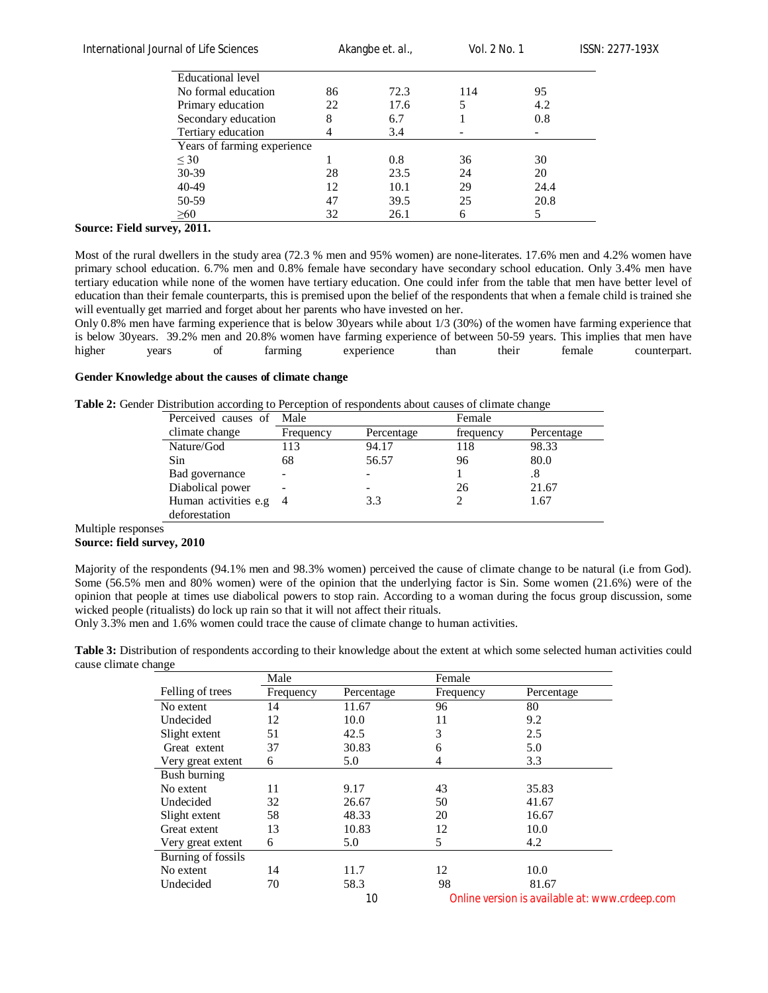Akangbe *et. al.,* Vol. 2 No. 1 ISSN: 2277-193X

| Educational level           |    |      |     |      |
|-----------------------------|----|------|-----|------|
| No formal education         | 86 | 72.3 | 114 | 95   |
| Primary education           | 22 | 17.6 |     | 4.2  |
| Secondary education         | 8  | 6.7  |     | 0.8  |
| Tertiary education          |    | 3.4  |     |      |
| Years of farming experience |    |      |     |      |
| $\leq 30$                   |    | 0.8  | 36  | 30   |
| 30-39                       | 28 | 23.5 | 24  | 20   |
| 40-49                       | 12 | 10.1 | 29  | 24.4 |
| 50-59                       | 47 | 39.5 | 25  | 20.8 |
| >60                         | 32 | 26.1 | h   |      |

# **Source: Field survey, 2011.**

Most of the rural dwellers in the study area (72.3 % men and 95% women) are none-literates. 17.6% men and 4.2% women have primary school education. 6.7% men and 0.8% female have secondary have secondary school education. Only 3.4% men have tertiary education while none of the women have tertiary education. One could infer from the table that men have better level of education than their female counterparts, this is premised upon the belief of the respondents that when a female child is trained she will eventually get married and forget about her parents who have invested on her.

Only 0.8% men have farming experience that is below 30years while about 1/3 (30%) of the women have farming experience that is below 30years. 39.2% men and 20.8% women have farming experience of between 50-59 years. This implies that men have higher years of farming experience than their female counterpart.

#### **Gender Knowledge about the causes of climate change**

**Table 2:** Gender Distribution according to Perception of respondents about causes of climate change

| Perceived causes of  | Male      |            | Female    |            |
|----------------------|-----------|------------|-----------|------------|
| climate change       | Frequency | Percentage | frequency | Percentage |
| Nature/God           | 113       | 94.17      | 118       | 98.33      |
| Sin                  | 68        | 56.57      | 96        | 80.0       |
| Bad governance       |           |            |           | .8         |
| Diabolical power     |           |            | 26        | 21.67      |
| Human activities e.g |           | 3.3        |           | 1.67       |
| deforestation        |           |            |           |            |

Multiple responses

#### **Source: field survey, 2010**

Majority of the respondents (94.1% men and 98.3% women) perceived the cause of climate change to be natural (i.e from God). Some (56.5% men and 80% women) were of the opinion that the underlying factor is Sin. Some women (21.6%) were of the opinion that people at times use diabolical powers to stop rain. According to a woman during the focus group discussion, some wicked people (ritualists) do lock up rain so that it will not affect their rituals.

Only 3.3% men and 1.6% women could trace the cause of climate change to human activities.

**Table 3:** Distribution of respondents according to their knowledge about the extent at which some selected human activities could cause climate change

| $\tilde{\phantom{a}}$ | Male      |            | Female    |                                                |
|-----------------------|-----------|------------|-----------|------------------------------------------------|
| Felling of trees      | Frequency | Percentage | Frequency | Percentage                                     |
| No extent             | 14        | 11.67      | 96        | 80                                             |
| Undecided             | 12        | 10.0       | 11        | 9.2                                            |
| Slight extent         | 51        | 42.5       | 3         | 2.5                                            |
| Great extent          | 37        | 30.83      | 6         | 5.0                                            |
| Very great extent     | 6         | 5.0        | 4         | 3.3                                            |
| Bush burning          |           |            |           |                                                |
| No extent             | 11        | 9.17       | 43        | 35.83                                          |
| Undecided             | 32        | 26.67      | 50        | 41.67                                          |
| Slight extent         | 58        | 48.33      | 20        | 16.67                                          |
| Great extent          | 13        | 10.83      | 12        | 10.0                                           |
| Very great extent     | 6         | 5.0        | 5         | 4.2                                            |
| Burning of fossils    |           |            |           |                                                |
| No extent             | 14        | 11.7       | 12        | 10.0                                           |
| Undecided             | 70        | 58.3       | 98        | 81.67                                          |
|                       |           | 10         |           | Online version is available at: www.crdeep.com |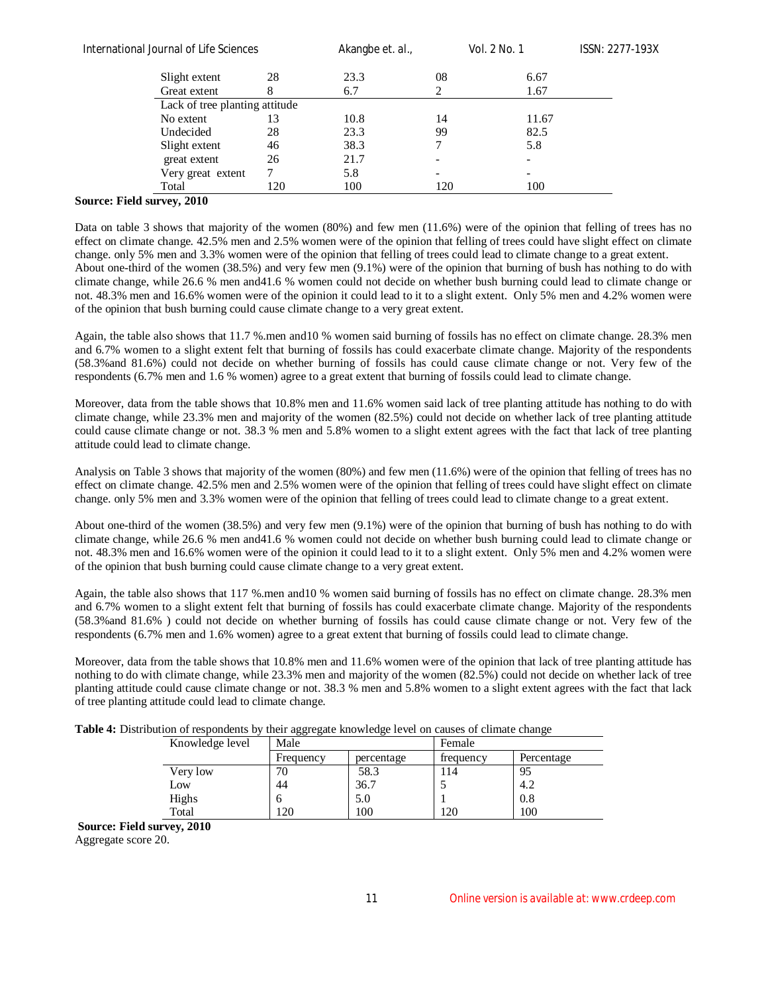| International Journal of Life Sciences |     | Akangbe et. al., |                          | Vol. 2 No. 1 | ISSN: 2277-193X |
|----------------------------------------|-----|------------------|--------------------------|--------------|-----------------|
| Slight extent                          | 28  | 23.3             | 08                       | 6.67         |                 |
| Great extent                           |     | 6.7              |                          | 1.67         |                 |
| Lack of tree planting attitude         |     |                  |                          |              |                 |
| No extent                              | 13  | 10.8             | 14                       | 11.67        |                 |
| Undecided                              | 28  | 23.3             | 99                       | 82.5         |                 |
| Slight extent                          | 46  | 38.3             | 7                        | 5.8          |                 |
| great extent                           | 26  | 21.7             | $\overline{\phantom{a}}$ | -            |                 |
| Very great extent                      |     | 5.8              | $\overline{\phantom{a}}$ |              |                 |
| Total                                  | 120 | 100              | 120                      | 100          |                 |

# **Source: Field survey, 2010**

Data on table 3 shows that majority of the women (80%) and few men (11.6%) were of the opinion that felling of trees has no effect on climate change. 42.5% men and 2.5% women were of the opinion that felling of trees could have slight effect on climate change. only 5% men and 3.3% women were of the opinion that felling of trees could lead to climate change to a great extent. About one-third of the women (38.5%) and very few men (9.1%) were of the opinion that burning of bush has nothing to do with climate change, while 26.6 % men and41.6 % women could not decide on whether bush burning could lead to climate change or not. 48.3% men and 16.6% women were of the opinion it could lead to it to a slight extent. Only 5% men and 4.2% women were of the opinion that bush burning could cause climate change to a very great extent.

Again, the table also shows that 11.7 %.men and10 % women said burning of fossils has no effect on climate change. 28.3% men and 6.7% women to a slight extent felt that burning of fossils has could exacerbate climate change. Majority of the respondents (58.3%and 81.6%) could not decide on whether burning of fossils has could cause climate change or not. Very few of the respondents (6.7% men and 1.6 % women) agree to a great extent that burning of fossils could lead to climate change.

Moreover, data from the table shows that 10.8% men and 11.6% women said lack of tree planting attitude has nothing to do with climate change, while 23.3% men and majority of the women (82.5%) could not decide on whether lack of tree planting attitude could cause climate change or not. 38.3 % men and 5.8% women to a slight extent agrees with the fact that lack of tree planting attitude could lead to climate change.

Analysis on Table 3 shows that majority of the women (80%) and few men (11.6%) were of the opinion that felling of trees has no effect on climate change. 42.5% men and 2.5% women were of the opinion that felling of trees could have slight effect on climate change. only 5% men and 3.3% women were of the opinion that felling of trees could lead to climate change to a great extent.

About one-third of the women (38.5%) and very few men (9.1%) were of the opinion that burning of bush has nothing to do with climate change, while 26.6 % men and41.6 % women could not decide on whether bush burning could lead to climate change or not. 48.3% men and 16.6% women were of the opinion it could lead to it to a slight extent. Only 5% men and 4.2% women were of the opinion that bush burning could cause climate change to a very great extent.

Again, the table also shows that 117 %.men and10 % women said burning of fossils has no effect on climate change. 28.3% men and 6.7% women to a slight extent felt that burning of fossils has could exacerbate climate change. Majority of the respondents (58.3%and 81.6% ) could not decide on whether burning of fossils has could cause climate change or not. Very few of the respondents (6.7% men and 1.6% women) agree to a great extent that burning of fossils could lead to climate change.

Moreover, data from the table shows that 10.8% men and 11.6% women were of the opinion that lack of tree planting attitude has nothing to do with climate change, while 23.3% men and majority of the women (82.5%) could not decide on whether lack of tree planting attitude could cause climate change or not. 38.3 % men and 5.8% women to a slight extent agrees with the fact that lack of tree planting attitude could lead to climate change.

|  | Table 4: Distribution of respondents by their aggregate knowledge level on causes of climate change |  |
|--|-----------------------------------------------------------------------------------------------------|--|
|  |                                                                                                     |  |

|                 | ິ         |            |           |            |
|-----------------|-----------|------------|-----------|------------|
| Knowledge level | Male      |            | Female    |            |
|                 | Frequency | percentage | frequency | Percentage |
| Very low        | 'U        | 58.3       | 114       | 95         |
| Low             | 44        | 36.7       |           | 4.2        |
| Highs           |           | 5.0        |           | 0.8        |
| Total           | 20        | 100        | 120       | 100        |

**Source: Field survey, 2010**

Aggregate score 20.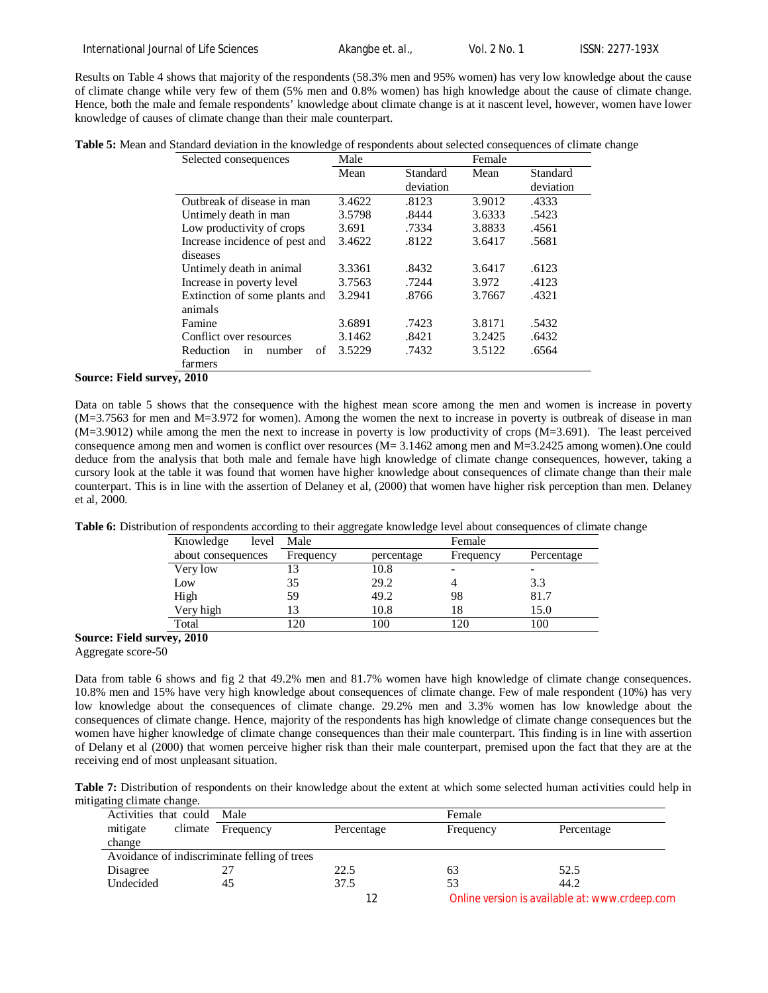Results on Table 4 shows that majority of the respondents (58.3% men and 95% women) has very low knowledge about the cause of climate change while very few of them (5% men and 0.8% women) has high knowledge about the cause of climate change. Hence, both the male and female respondents' knowledge about climate change is at it nascent level, however, women have lower knowledge of causes of climate change than their male counterpart.

| Table 5: Mean and Standard deviation in the knowledge of respondents about selected consequences of climate change |
|--------------------------------------------------------------------------------------------------------------------|
|--------------------------------------------------------------------------------------------------------------------|

| Selected consequences                      | Male   |           | Female |           |
|--------------------------------------------|--------|-----------|--------|-----------|
|                                            | Mean   | Standard  | Mean   | Standard  |
|                                            |        | deviation |        | deviation |
| Outbreak of disease in man                 | 3.4622 | .8123     | 3.9012 | .4333     |
| Untimely death in man                      | 3.5798 | .8444     | 3.6333 | .5423     |
| Low productivity of crops                  | 3.691  | .7334     | 3.8833 | .4561     |
| Increase incidence of pest and             | 3.4622 | .8122     | 3.6417 | .5681     |
| diseases                                   |        |           |        |           |
| Untimely death in animal                   | 3.3361 | .8432     | 3.6417 | .6123     |
| Increase in poverty level                  | 3.7563 | .7244     | 3.972  | .4123     |
| Extinction of some plants and              | 3.2941 | .8766     | 3.7667 | .4321     |
| animals                                    |        |           |        |           |
| Famine                                     | 3.6891 | .7423     | 3.8171 | .5432     |
| Conflict over resources                    | 3.1462 | .8421     | 3.2425 | .6432     |
| Reduction<br>number<br>of<br><sub>in</sub> | 3.5229 | .7432     | 3.5122 | .6564     |
| farmers                                    |        |           |        |           |

#### **Source: Field survey, 2010**

Data on table 5 shows that the consequence with the highest mean score among the men and women is increase in poverty (M=3.7563 for men and M=3.972 for women). Among the women the next to increase in poverty is outbreak of disease in man (M=3.9012) while among the men the next to increase in poverty is low productivity of crops (M=3.691). The least perceived consequence among men and women is conflict over resources (M= 3.1462 among men and M=3.2425 among women).One could deduce from the analysis that both male and female have high knowledge of climate change consequences, however, taking a cursory look at the table it was found that women have higher knowledge about consequences of climate change than their male counterpart. This is in line with the assertion of Delaney et al, (2000) that women have higher risk perception than men. Delaney et al, 2000.

**Table 6:** Distribution of respondents according to their aggregate knowledge level about consequences of climate change

| Knowledge<br>level | Male          |            | Female    |            |
|--------------------|---------------|------------|-----------|------------|
| about consequences | Frequency     | percentage | Frequency | Percentage |
| Very low           | 13            | 10.8       |           |            |
| Low                | 35            | 29.2       |           | 3.3        |
| High               | 59            | 49.2       | 98        | 81.7       |
| Very high          | 13            | 10.8       | 18        | 15.0       |
| Total              | <sup>20</sup> | 100        | 120       | 100        |
| $A^{\Lambda}$      |               |            |           |            |

**Source: Field survey, 2010**

Aggregate score-50

Data from table 6 shows and fig 2 that 49.2% men and 81.7% women have high knowledge of climate change consequences. 10.8% men and 15% have very high knowledge about consequences of climate change. Few of male respondent (10%) has very low knowledge about the consequences of climate change. 29.2% men and 3.3% women has low knowledge about the consequences of climate change. Hence, majority of the respondents has high knowledge of climate change consequences but the women have higher knowledge of climate change consequences than their male counterpart. This finding is in line with assertion of Delany et al (2000) that women perceive higher risk than their male counterpart, premised upon the fact that they are at the receiving end of most unpleasant situation.

**Table 7:** Distribution of respondents on their knowledge about the extent at which some selected human activities could help in mitigating climate change.

| Activities that could Male |                                              |            | Female    |                                                |
|----------------------------|----------------------------------------------|------------|-----------|------------------------------------------------|
| mitigate                   | climate Frequency                            | Percentage | Frequency | Percentage                                     |
| change                     |                                              |            |           |                                                |
|                            | Avoidance of indiscriminate felling of trees |            |           |                                                |
| Disagree                   |                                              | 22.5       | 63        | 52.5                                           |
| Undecided                  | 45                                           | 37.5       | 53        | 44.2                                           |
|                            |                                              |            |           | Online version is available at: www.crdeep.com |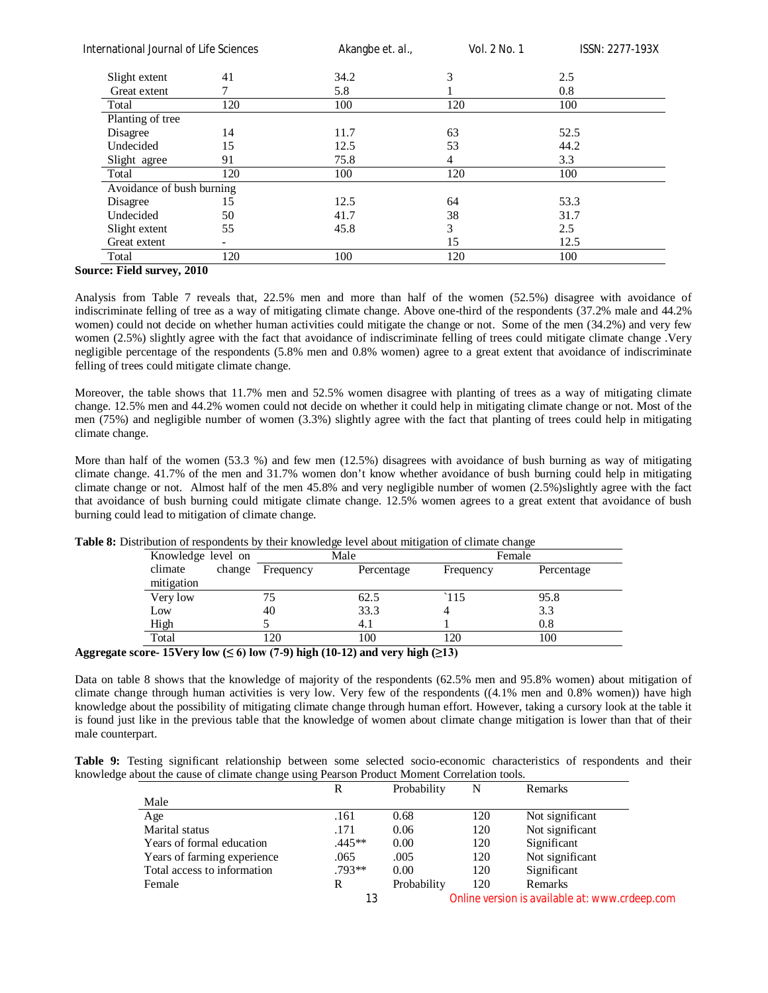| International Journal of Life Sciences |     | Akangbe et. al., | Vol. 2 No. 1 | ISSN: 2277-193X |  |
|----------------------------------------|-----|------------------|--------------|-----------------|--|
| Slight extent                          | 41  | 34.2             | 3            | 2.5             |  |
| Great extent                           |     | 5.8              |              | 0.8             |  |
| Total                                  | 120 | 100              | 120          | 100             |  |
| Planting of tree                       |     |                  |              |                 |  |
| Disagree                               | 14  | 11.7             | 63           | 52.5            |  |
| Undecided                              | 15  | 12.5             | 53           | 44.2            |  |
| Slight agree                           | 91  | 75.8             | 4            | 3.3             |  |
| Total                                  | 120 | 100              | 120          | 100             |  |
| Avoidance of bush burning              |     |                  |              |                 |  |
| Disagree                               | 15  | 12.5             | 64           | 53.3            |  |
| Undecided                              | 50  | 41.7             | 38           | 31.7            |  |
| Slight extent                          | 55  | 45.8             | 3            | 2.5             |  |
| Great extent                           |     |                  | 15           | 12.5            |  |
| Total                                  | 120 | 100              | 120          | 100             |  |

# **Source: Field survey, 2010**

Analysis from Table 7 reveals that, 22.5% men and more than half of the women (52.5%) disagree with avoidance of indiscriminate felling of tree as a way of mitigating climate change. Above one-third of the respondents (37.2% male and 44.2% women) could not decide on whether human activities could mitigate the change or not. Some of the men (34.2%) and very few women (2.5%) slightly agree with the fact that avoidance of indiscriminate felling of trees could mitigate climate change. Very negligible percentage of the respondents (5.8% men and 0.8% women) agree to a great extent that avoidance of indiscriminate felling of trees could mitigate climate change.

Moreover, the table shows that 11.7% men and 52.5% women disagree with planting of trees as a way of mitigating climate change. 12.5% men and 44.2% women could not decide on whether it could help in mitigating climate change or not. Most of the men (75%) and negligible number of women (3.3%) slightly agree with the fact that planting of trees could help in mitigating climate change.

More than half of the women (53.3 %) and few men (12.5%) disagrees with avoidance of bush burning as way of mitigating climate change. 41.7% of the men and 31.7% women don't know whether avoidance of bush burning could help in mitigating climate change or not. Almost half of the men 45.8% and very negligible number of women (2.5%)slightly agree with the fact that avoidance of bush burning could mitigate climate change. 12.5% women agrees to a great extent that avoidance of bush burning could lead to mitigation of climate change.

| Knowledge level on    |        |           | Male       | Female    |            |  |
|-----------------------|--------|-----------|------------|-----------|------------|--|
| climate<br>mitigation | change | Frequency | Percentage | Frequency | Percentage |  |
| Very low              |        |           | 62.5       | `115      | 95.8       |  |
| Low                   |        | 40        | 33.3       |           | 3.3        |  |
| High                  |        |           | 4.1        |           | 0.8        |  |
| Total                 |        | 20        | 100        | 20        | 100        |  |

**Table 8:** Distribution of respondents by their knowledge level about mitigation of climate change

#### Aggregate score- $15$ Very low ( $\leq 6$ ) low (7-9) high (10-12) and very high ( $\geq 13$ )

Data on table 8 shows that the knowledge of majority of the respondents (62.5% men and 95.8% women) about mitigation of climate change through human activities is very low. Very few of the respondents ((4.1% men and 0.8% women)) have high knowledge about the possibility of mitigating climate change through human effort. However, taking a cursory look at the table it is found just like in the previous table that the knowledge of women about climate change mitigation is lower than that of their male counterpart.

|  |  |  | Table 9: Testing significant relationship between some selected socio-economic characteristics of respondents and their |  |  |  |
|--|--|--|-------------------------------------------------------------------------------------------------------------------------|--|--|--|
|  |  |  | knowledge about the cause of climate change using Pearson Product Moment Correlation tools.                             |  |  |  |

|                             | R        | Probability | N   | Remarks                                        |
|-----------------------------|----------|-------------|-----|------------------------------------------------|
| Male                        |          |             |     |                                                |
| Age                         | .161     | 0.68        | 120 | Not significant                                |
| Marital status              | .171     | 0.06        | 120 | Not significant                                |
| Years of formal education   | $.445**$ | 0.00        | 120 | Significant                                    |
| Years of farming experience | .065     | .005        | 120 | Not significant                                |
| Total access to information | $.793**$ | 0.00        | 120 | Significant                                    |
| Female                      | R        | Probability | 120 | Remarks                                        |
|                             | 13       |             |     | Online version is available at: www.crdeep.com |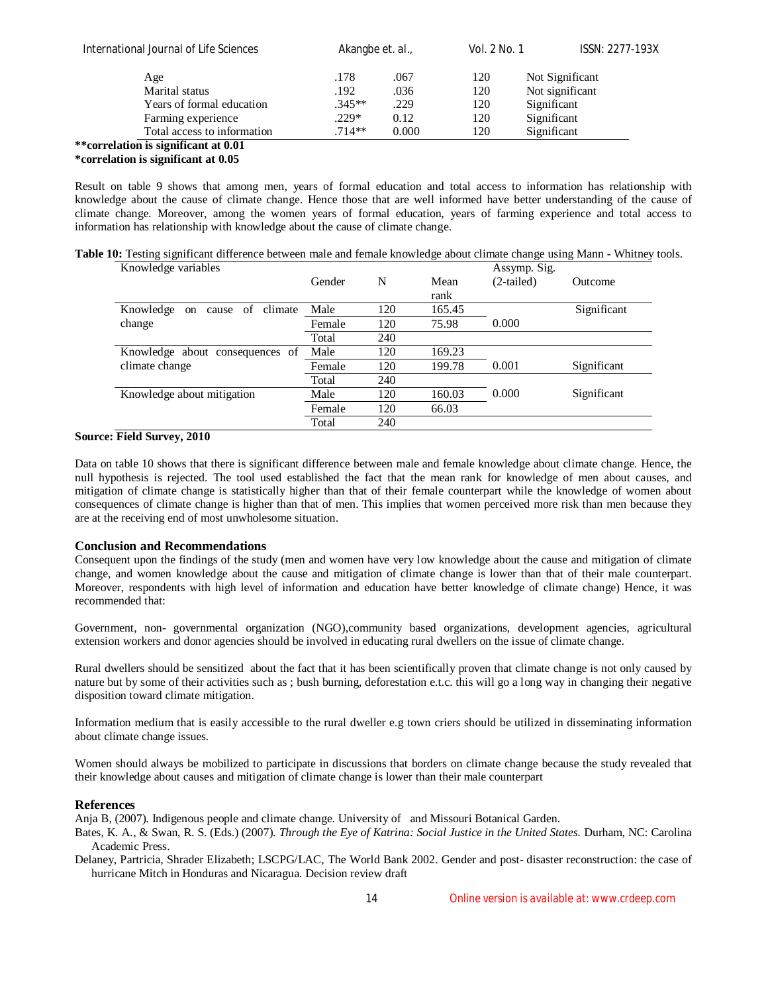| ISSN: 2277-193X |
|-----------------|
|                 |
|                 |
|                 |
|                 |
|                 |
|                 |

#### **\*\*correlation is significant at 0.01 \*correlation is significant at 0.05**

Result on table 9 shows that among men, years of formal education and total access to information has relationship with knowledge about the cause of climate change. Hence those that are well informed have better understanding of the cause of climate change. Moreover, among the women years of formal education, years of farming experience and total access to information has relationship with knowledge about the cause of climate change.

|  | Table 10: Testing significant difference between male and female knowledge about climate change using Mann - Whitney tools. |  |  |  |  |
|--|-----------------------------------------------------------------------------------------------------------------------------|--|--|--|--|
|  |                                                                                                                             |  |  |  |  |

| Knowledge variables                                             | Gender | N   | Mean<br>rank | Assymp. Sig.<br>(2-tailed) | Outcome     |
|-----------------------------------------------------------------|--------|-----|--------------|----------------------------|-------------|
| climate<br>Knowledge<br><sub>of</sub><br>cause<br><sub>on</sub> | Male   | 120 | 165.45       |                            | Significant |
| change                                                          | Female | 120 | 75.98        | 0.000                      |             |
|                                                                 | Total  | 240 |              |                            |             |
| Knowledge about consequences of                                 | Male   | 120 | 169.23       |                            |             |
| climate change                                                  | Female | 120 | 199.78       | 0.001                      | Significant |
|                                                                 | Total  | 240 |              |                            |             |
| Knowledge about mitigation                                      | Male   | 120 | 160.03       | 0.000                      | Significant |
|                                                                 | Female | 120 | 66.03        |                            |             |
|                                                                 | Total  | 240 |              |                            |             |

# **Source: Field Survey, 2010**

Data on table 10 shows that there is significant difference between male and female knowledge about climate change. Hence, the null hypothesis is rejected. The tool used established the fact that the mean rank for knowledge of men about causes, and mitigation of climate change is statistically higher than that of their female counterpart while the knowledge of women about consequences of climate change is higher than that of men. This implies that women perceived more risk than men because they are at the receiving end of most unwholesome situation.

# **Conclusion and Recommendations**

Consequent upon the findings of the study (men and women have very low knowledge about the cause and mitigation of climate change, and women knowledge about the cause and mitigation of climate change is lower than that of their male counterpart. Moreover, respondents with high level of information and education have better knowledge of climate change) Hence, it was recommended that:

Government, non- governmental organization (NGO),community based organizations, development agencies, agricultural extension workers and donor agencies should be involved in educating rural dwellers on the issue of climate change.

Rural dwellers should be sensitized about the fact that it has been scientifically proven that climate change is not only caused by nature but by some of their activities such as ; bush burning, deforestation e.t.c. this will go a long way in changing their negative disposition toward climate mitigation.

Information medium that is easily accessible to the rural dweller e.g town criers should be utilized in disseminating information about climate change issues.

Women should always be mobilized to participate in discussions that borders on climate change because the study revealed that their knowledge about causes and mitigation of climate change is lower than their male counterpart

# **References**

Anja B, (2007). Indigenous people and climate change. University of and Missouri Botanical Garden.

Bates, K. A., & Swan, R. S. (Eds.) (2007). *Through the Eye of Katrina: Social Justice in the United States.* Durham, NC: Carolina Academic Press.

Delaney, Partricia, Shrader Elizabeth; LSCPG/LAC, The World Bank 2002. Gender and post- disaster reconstruction: the case of hurricane Mitch in Honduras and Nicaragua. Decision review draft